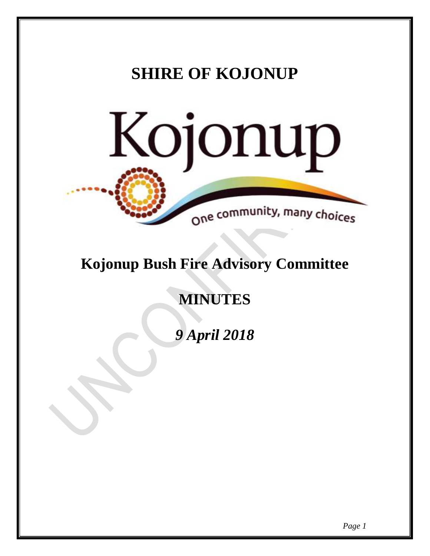# **SHIRE OF KOJONUP** Kojonup One community, many choices

# **Kojonup Bush Fire Advisory Committee**

# **MINUTES**

*9 April 2018*

*Page 1*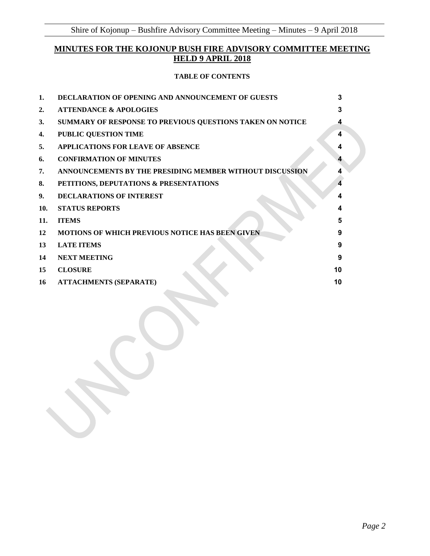# **MINUTES FOR THE KOJONUP BUSH FIRE ADVISORY COMMITTEE MEETING HELD 9 APRIL 2018**

#### **TABLE OF CONTENTS**

| 1.  | <b>DECLARATION OF OPENING AND ANNOUNCEMENT OF GUESTS</b>  | 3  |
|-----|-----------------------------------------------------------|----|
| 2.  | <b>ATTENDANCE &amp; APOLOGIES</b>                         | 3  |
| 3.  | SUMMARY OF RESPONSE TO PREVIOUS QUESTIONS TAKEN ON NOTICE | 4  |
| 4.  | <b>PUBLIC QUESTION TIME</b>                               | 4  |
| 5.  | <b>APPLICATIONS FOR LEAVE OF ABSENCE</b>                  |    |
| 6.  | <b>CONFIRMATION OF MINUTES</b>                            |    |
| 7.  | ANNOUNCEMENTS BY THE PRESIDING MEMBER WITHOUT DISCUSSION  |    |
| 8.  | PETITIONS, DEPUTATIONS & PRESENTATIONS                    |    |
| 9.  | <b>DECLARATIONS OF INTEREST</b>                           |    |
| 10. | <b>STATUS REPORTS</b>                                     |    |
| 11. | <b>ITEMS</b>                                              | 5  |
| 12  | <b>MOTIONS OF WHICH PREVIOUS NOTICE HAS BEEN GIVEN</b>    | 9  |
| 13  | <b>LATE ITEMS</b>                                         | 9  |
| 14  | <b>NEXT MEETING</b>                                       | 9  |
| 15  | <b>CLOSURE</b>                                            | 10 |
| 16  | <b>ATTACHMENTS (SEPARATE)</b>                             | 10 |
|     |                                                           |    |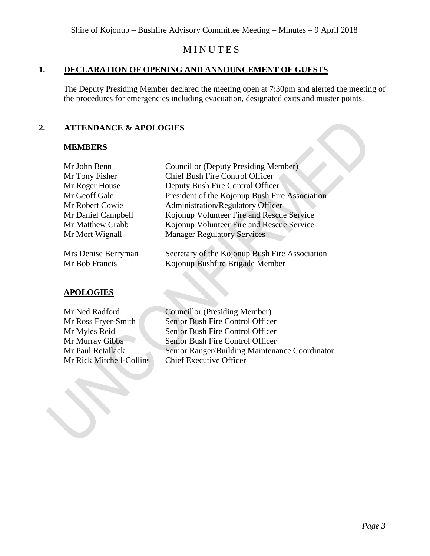# **MINUTES**

#### <span id="page-2-0"></span>**1. DECLARATION OF OPENING AND ANNOUNCEMENT OF GUESTS**

The Deputy Presiding Member declared the meeting open at 7:30pm and alerted the meeting of the procedures for emergencies including evacuation, designated exits and muster points.

## <span id="page-2-1"></span>**2. ATTENDANCE & APOLOGIES**

#### **MEMBERS**

| <b>MEMBERS</b>      |                                                |
|---------------------|------------------------------------------------|
| Mr John Benn        | <b>Councillor (Deputy Presiding Member)</b>    |
| Mr Tony Fisher      | <b>Chief Bush Fire Control Officer</b>         |
| Mr Roger House      | Deputy Bush Fire Control Officer               |
| Mr Geoff Gale       | President of the Kojonup Bush Fire Association |
| Mr Robert Cowie     | <b>Administration/Regulatory Officer</b>       |
| Mr Daniel Campbell  | Kojonup Volunteer Fire and Rescue Service      |
| Mr Matthew Crabb    | Kojonup Volunteer Fire and Rescue Service      |
| Mr Mort Wignall     | <b>Manager Regulatory Services</b>             |
| Mrs Denise Berryman | Secretary of the Kojonup Bush Fire Association |
| Mr Bob Francis      | Kojonup Bushfire Brigade Member                |

#### **APOLOGIES**

Mr Rick Mitchell-Collins Chief Executive Officer

Mr Ned Radford Councillor (Presiding Member) Mr Ross Fryer-Smith Senior Bush Fire Control Officer Mr Myles Reid Senior Bush Fire Control Officer Mr Murray Gibbs Senior Bush Fire Control Officer Mr Paul Retallack Senior Ranger/Building Maintenance Coordinator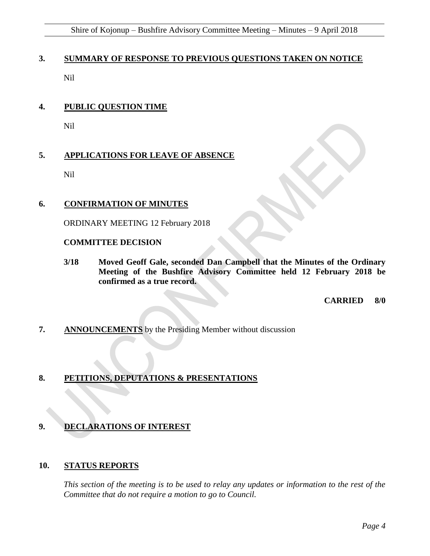# <span id="page-3-0"></span>**3. SUMMARY OF RESPONSE TO PREVIOUS QUESTIONS TAKEN ON NOTICE**

Nil

# <span id="page-3-1"></span>**4. PUBLIC QUESTION TIME**

Nil

# <span id="page-3-2"></span>**5. APPLICATIONS FOR LEAVE OF ABSENCE**

Nil

## <span id="page-3-3"></span>**6. CONFIRMATION OF MINUTES**

ORDINARY MEETING 12 February 2018

#### **COMMITTEE DECISION**

**3/18 Moved Geoff Gale, seconded Dan Campbell that the Minutes of the Ordinary Meeting of the Bushfire Advisory Committee held 12 February 2018 be confirmed as a true record.** 

**CARRIED 8/0**

<span id="page-3-4"></span>**7. ANNOUNCEMENTS** by the Presiding Member without discussion

# <span id="page-3-5"></span>**8. PETITIONS, DEPUTATIONS & PRESENTATIONS**

# <span id="page-3-6"></span>**9. DECLARATIONS OF INTEREST**

#### <span id="page-3-7"></span>**10. STATUS REPORTS**

*This section of the meeting is to be used to relay any updates or information to the rest of the Committee that do not require a motion to go to Council.*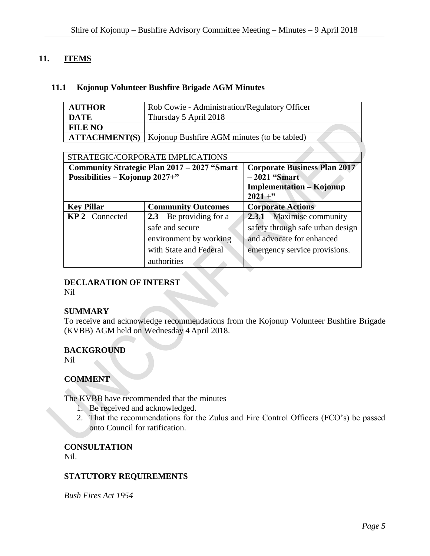## <span id="page-4-0"></span>**11. ITEMS**

#### **11.1 Kojonup Volunteer Bushfire Brigade AGM Minutes**

| <b>AUTHOR</b>  | Rob Cowie - Administration/Regulatory Officer                      |
|----------------|--------------------------------------------------------------------|
| <b>DATE</b>    | Thursday 5 April 2018                                              |
| <b>FILE NO</b> |                                                                    |
|                | <b>ATTACHMENT(S)</b>   Kojonup Bushfire AGM minutes (to be tabled) |
|                |                                                                    |

| STRATEGIC/CORPORATE IMPLICATIONS |                                              |                                     |  |  |  |
|----------------------------------|----------------------------------------------|-------------------------------------|--|--|--|
|                                  | Community Strategic Plan 2017 – 2027 "Smart" | <b>Corporate Business Plan 2017</b> |  |  |  |
| Possibilities – Kojonup 2027+"   |                                              | $-2021$ "Smart                      |  |  |  |
|                                  |                                              | <b>Implementation – Kojonup</b>     |  |  |  |
|                                  |                                              | $2021 +$ "                          |  |  |  |
| <b>Key Pillar</b>                | <b>Community Outcomes</b>                    | <b>Corporate Actions</b>            |  |  |  |
| $KP$ 2 – Connected               | $2.3 - Be$ providing for a                   | $2.3.1 - Maximise community$        |  |  |  |
|                                  | safe and secure                              | safety through safe urban design    |  |  |  |
|                                  | environment by working                       | and advocate for enhanced           |  |  |  |
|                                  | with State and Federal                       | emergency service provisions.       |  |  |  |
|                                  | authorities                                  |                                     |  |  |  |

# **DECLARATION OF INTERST**

Nil

#### **SUMMARY**

To receive and acknowledge recommendations from the Kojonup Volunteer Bushfire Brigade (KVBB) AGM held on Wednesday 4 April 2018.

#### **BACKGROUND**

Nil

#### **COMMENT**

The KVBB have recommended that the minutes

- 1. Be received and acknowledged.
- 2. That the recommendations for the Zulus and Fire Control Officers (FCO's) be passed onto Council for ratification.

**CONSULTATION** Nil.

#### **STATUTORY REQUIREMENTS**

*Bush Fires Act 1954*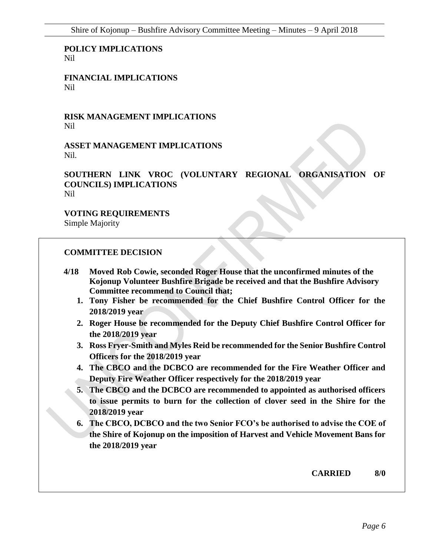**POLICY IMPLICATIONS** Nil

**FINANCIAL IMPLICATIONS** Nil

**RISK MANAGEMENT IMPLICATIONS** Nil

**ASSET MANAGEMENT IMPLICATIONS** Nil*.*

**SOUTHERN LINK VROC (VOLUNTARY REGIONAL ORGANISATION OF COUNCILS) IMPLICATIONS** Nil

**VOTING REQUIREMENTS** Simple Majority

#### **COMMITTEE DECISION**

- **4/18 Moved Rob Cowie, seconded Roger House that the unconfirmed minutes of the Kojonup Volunteer Bushfire Brigade be received and that the Bushfire Advisory Committee recommend to Council that;**
	- **1. Tony Fisher be recommended for the Chief Bushfire Control Officer for the 2018/2019 year**
	- **2. Roger House be recommended for the Deputy Chief Bushfire Control Officer for the 2018/2019 year**
	- **3. Ross Fryer-Smith and Myles Reid be recommended for the Senior Bushfire Control Officers for the 2018/2019 year**
	- **4. The CBCO and the DCBCO are recommended for the Fire Weather Officer and Deputy Fire Weather Officer respectively for the 2018/2019 year**
	- **5. The CBCO and the DCBCO are recommended to appointed as authorised officers to issue permits to burn for the collection of clover seed in the Shire for the 2018/2019 year**
	- **6. The CBCO, DCBCO and the two Senior FCO's be authorised to advise the COE of the Shire of Kojonup on the imposition of Harvest and Vehicle Movement Bans for the 2018/2019 year**

**CARRIED 8/0**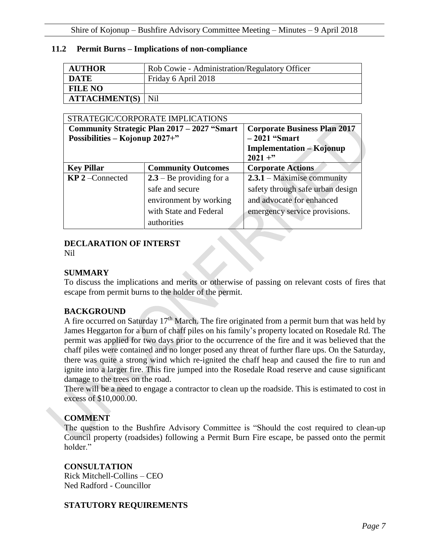#### **11.2 Permit Burns – Implications of non-compliance**

| <b>AUTHOR</b>        | Rob Cowie - Administration/Regulatory Officer |
|----------------------|-----------------------------------------------|
| <b>DATE</b>          | Friday 6 April 2018                           |
| <b>FILE NO</b>       |                                               |
| <b>ATTACHMENT(S)</b> | Nil                                           |

| STRATEGIC/CORPORATE IMPLICATIONS |                                              |                                     |  |  |
|----------------------------------|----------------------------------------------|-------------------------------------|--|--|
|                                  | Community Strategic Plan 2017 – 2027 "Smart" | <b>Corporate Business Plan 2017</b> |  |  |
| Possibilities – Kojonup 2027+"   |                                              | $-2021$ "Smart                      |  |  |
|                                  |                                              | <b>Implementation – Kojonup</b>     |  |  |
|                                  |                                              | $2021 +$ "                          |  |  |
| <b>Key Pillar</b>                | <b>Community Outcomes</b>                    | <b>Corporate Actions</b>            |  |  |
| $KP$ 2 – Connected               | $2.3 - Be$ providing for a                   | $2.3.1 - Maximise community$        |  |  |
|                                  | safe and secure                              | safety through safe urban design    |  |  |
|                                  | environment by working                       | and advocate for enhanced           |  |  |
|                                  | with State and Federal                       | emergency service provisions.       |  |  |
|                                  | authorities                                  |                                     |  |  |

#### **DECLARATION OF INTERST**

Nil

# **SUMMARY**

To discuss the implications and merits or otherwise of passing on relevant costs of fires that escape from permit burns to the holder of the permit.

#### **BACKGROUND**

A fire occurred on Saturday 17<sup>th</sup> March. The fire originated from a permit burn that was held by James Heggarton for a burn of chaff piles on his family's property located on Rosedale Rd. The permit was applied for two days prior to the occurrence of the fire and it was believed that the chaff piles were contained and no longer posed any threat of further flare ups. On the Saturday, there was quite a strong wind which re-ignited the chaff heap and caused the fire to run and ignite into a larger fire. This fire jumped into the Rosedale Road reserve and cause significant damage to the trees on the road.

There will be a need to engage a contractor to clean up the roadside. This is estimated to cost in excess of \$10,000.00.

# **COMMENT**

The question to the Bushfire Advisory Committee is "Should the cost required to clean-up Council property (roadsides) following a Permit Burn Fire escape, be passed onto the permit holder."

**CONSULTATION** Rick Mitchell-Collins – CEO Ned Radford - Councillor

# **STATUTORY REQUIREMENTS**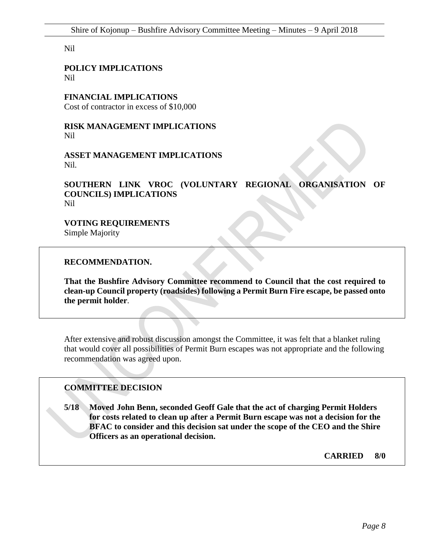Nil

**POLICY IMPLICATIONS** Nil

**FINANCIAL IMPLICATIONS**

Cost of contractor in excess of \$10,000

**RISK MANAGEMENT IMPLICATIONS** Nil

**ASSET MANAGEMENT IMPLICATIONS** Nil*.*

**SOUTHERN LINK VROC (VOLUNTARY REGIONAL ORGANISATION OF COUNCILS) IMPLICATIONS** Nil

**VOTING REQUIREMENTS**

Simple Majority

**RECOMMENDATION.**

**That the Bushfire Advisory Committee recommend to Council that the cost required to clean-up Council property (roadsides) following a Permit Burn Fire escape, be passed onto the permit holder**.

After extensive and robust discussion amongst the Committee, it was felt that a blanket ruling that would cover all possibilities of Permit Burn escapes was not appropriate and the following recommendation was agreed upon.

#### **COMMITTEE DECISION**

**5/18 Moved John Benn, seconded Geoff Gale that the act of charging Permit Holders for costs related to clean up after a Permit Burn escape was not a decision for the BFAC to consider and this decision sat under the scope of the CEO and the Shire Officers as an operational decision.**

**CARRIED 8/0**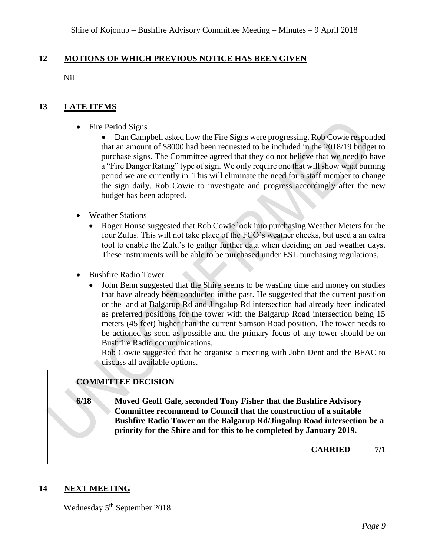#### <span id="page-8-0"></span>**12 MOTIONS OF WHICH PREVIOUS NOTICE HAS BEEN GIVEN**

Nil

## <span id="page-8-1"></span>**13 LATE ITEMS**

• Fire Period Signs

 Dan Campbell asked how the Fire Signs were progressing, Rob Cowie responded that an amount of \$8000 had been requested to be included in the 2018/19 budget to purchase signs. The Committee agreed that they do not believe that we need to have a "Fire Danger Rating" type of sign. We only require one that will show what burning period we are currently in. This will eliminate the need for a staff member to change the sign daily. Rob Cowie to investigate and progress accordingly after the new budget has been adopted.

- Weather Stations
	- Roger House suggested that Rob Cowie look into purchasing Weather Meters for the four Zulus. This will not take place of the FCO's weather checks, but used a an extra tool to enable the Zulu's to gather further data when deciding on bad weather days. These instruments will be able to be purchased under ESL purchasing regulations.
- Bushfire Radio Tower
	- John Benn suggested that the Shire seems to be wasting time and money on studies that have already been conducted in the past. He suggested that the current position or the land at Balgarup Rd and Jingalup Rd intersection had already been indicated as preferred positions for the tower with the Balgarup Road intersection being 15 meters (45 feet) higher than the current Samson Road position. The tower needs to be actioned as soon as possible and the primary focus of any tower should be on Bushfire Radio communications.

Rob Cowie suggested that he organise a meeting with John Dent and the BFAC to discuss all available options.

# **COMMITTEE DECISION**

**6/18 Moved Geoff Gale, seconded Tony Fisher that the Bushfire Advisory Committee recommend to Council that the construction of a suitable Bushfire Radio Tower on the Balgarup Rd/Jingalup Road intersection be a priority for the Shire and for this to be completed by January 2019.**

**CARRIED 7/1**

#### <span id="page-8-2"></span>**14 NEXT MEETING**

Wednesday 5<sup>th</sup> September 2018.